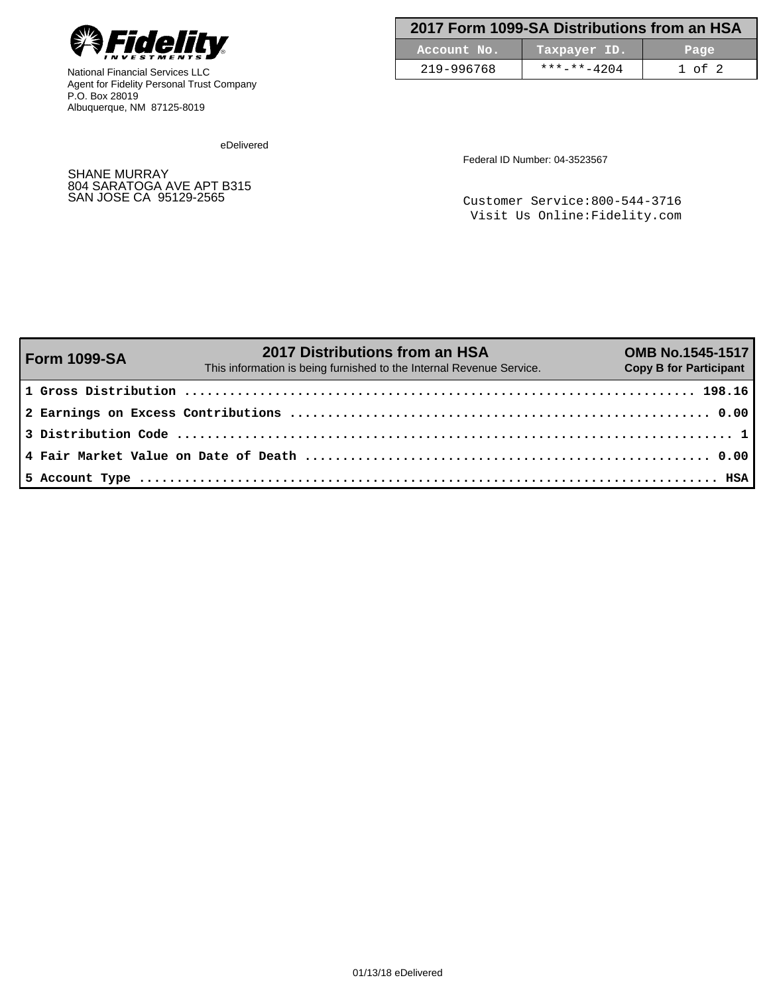

National Financial Services LLC Agent for Fidelity Personal Trust Company P.O. Box 28019 Albuquerque, NM 87125-8019

| 2017 Form 1099-SA Distributions from an HSA |                     |            |  |  |
|---------------------------------------------|---------------------|------------|--|--|
| Account No.                                 | Taxpayer ID.        | Page       |  |  |
| 219-996768                                  | $***$ $***$ $-4204$ | $1$ of $2$ |  |  |

eDelivered

SHANE MURRAY 804 SARATOGA AVE APT B315 Federal ID Number: 04-3523567

Customer Service:800-544-3716 Visit Us Online:Fidelity.com

| Form 1099-SA | 2017 Distributions from an HSA<br>This information is being furnished to the Internal Revenue Service. | <b>OMB No.1545-1517</b><br><b>Copy B for Participant</b> |
|--------------|--------------------------------------------------------------------------------------------------------|----------------------------------------------------------|
|              |                                                                                                        |                                                          |
|              |                                                                                                        |                                                          |
|              |                                                                                                        |                                                          |
|              |                                                                                                        |                                                          |
|              |                                                                                                        |                                                          |